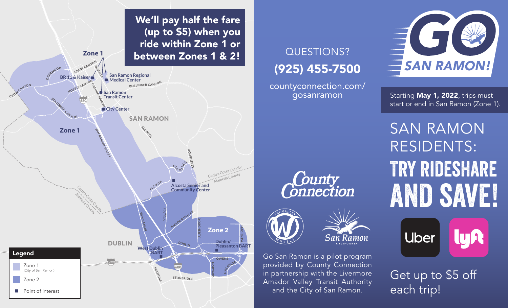

### QUESTIONS? (925) 455-7500

countyconnection.com/ gosanramon



Starting May 1, 2022, trips must start or end in San Ramon (Zone 1).

Try rideshare AND SAVE! SAN RAMON RESIDENTS:



Get up to \$5 off each trip!

# **County**<br>Connection



Go San Ramon is a pilot program provided by County Connection in partnership with the Livermore Amador Valley Transit Authority and the City of San Ramon.